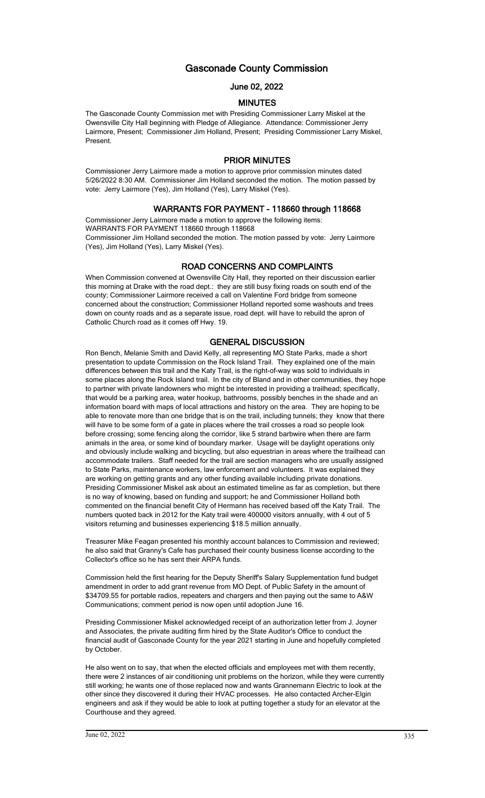# Gasconade County Commission

## June 02, 2022

### MINUTES

The Gasconade County Commission met with Presiding Commissioner Larry Miskel at the Owensville City Hall beginning with Pledge of Allegiance. Attendance: Commissioner Jerry Lairmore, Present; Commissioner Jim Holland, Present; Presiding Commissioner Larry Miskel, Present.

## PRIOR MINUTES

Commissioner Jerry Lairmore made a motion to approve prior commission minutes dated 5/26/2022 8:30 AM. Commissioner Jim Holland seconded the motion. The motion passed by vote: Jerry Lairmore (Yes), Jim Holland (Yes), Larry Miskel (Yes).

## WARRANTS FOR PAYMENT - 118660 through 118668

Commissioner Jerry Lairmore made a motion to approve the following items: WARRANTS FOR PAYMENT 118660 through 118668 Commissioner Jim Holland seconded the motion. The motion passed by vote: Jerry Lairmore (Yes), Jim Holland (Yes), Larry Miskel (Yes).

### ROAD CONCERNS AND COMPLAINTS

When Commission convened at Owensville City Hall, they reported on their discussion earlier this morning at Drake with the road dept.: they are still busy fixing roads on south end of the county; Commissioner Lairmore received a call on Valentine Ford bridge from someone concerned about the construction; Commissioner Holland reported some washouts and trees down on county roads and as a separate issue, road dept. will have to rebuild the apron of Catholic Church road as it comes off Hwy. 19.

### GENERAL DISCUSSION

Ron Bench, Melanie Smith and David Kelly, all representing MO State Parks, made a short presentation to update Commission on the Rock Island Trail. They explained one of the main differences between this trail and the Katy Trail, is the right-of-way was sold to individuals in some places along the Rock Island trail. In the city of Bland and in other communities, they hope to partner with private landowners who might be interested in providing a trailhead; specifically, that would be a parking area, water hookup, bathrooms, possibly benches in the shade and an information board with maps of local attractions and history on the area. They are hoping to be able to renovate more than one bridge that is on the trail, including tunnels; they know that there will have to be some form of a gate in places where the trail crosses a road so people look before crossing; some fencing along the corridor, like 5 strand barbwire when there are farm animals in the area, or some kind of boundary marker. Usage will be daylight operations only and obviously include walking and bicycling, but also equestrian in areas where the trailhead can accommodate trailers. Staff needed for the trail are section managers who are usually assigned to State Parks, maintenance workers, law enforcement and volunteers. It was explained they are working on getting grants and any other funding available including private donations. Presiding Commissioner Miskel ask about an estimated timeline as far as completion, but there is no way of knowing, based on funding and support; he and Commissioner Holland both commented on the financial benefit City of Hermann has received based off the Katy Trail. The numbers quoted back in 2012 for the Katy trail were 400000 visitors annually, with 4 out of 5 visitors returning and businesses experiencing \$18.5 million annually.

Treasurer Mike Feagan presented his monthly account balances to Commission and reviewed; he also said that Granny's Cafe has purchased their county business license according to the Collector's office so he has sent their ARPA funds.

Commission held the first hearing for the Deputy Sheriff's Salary Supplementation fund budget amendment in order to add grant revenue from MO Dept. of Public Safety in the amount of \$34709.55 for portable radios, repeaters and chargers and then paying out the same to A&W Communications; comment period is now open until adoption June 16.

Presiding Commissioner Miskel acknowledged receipt of an authorization letter from J. Joyner and Associates, the private auditing firm hired by the State Auditor's Office to conduct the financial audit of Gasconade County for the year 2021 starting in June and hopefully completed by October.

He also went on to say, that when the elected officials and employees met with them recently, there were 2 instances of air conditioning unit problems on the horizon, while they were currently still working; he wants one of those replaced now and wants Grannemann Electric to look at the other since they discovered it during their HVAC processes. He also contacted Archer-Elgin engineers and ask if they would be able to look at putting together a study for an elevator at the Courthouse and they agreed.